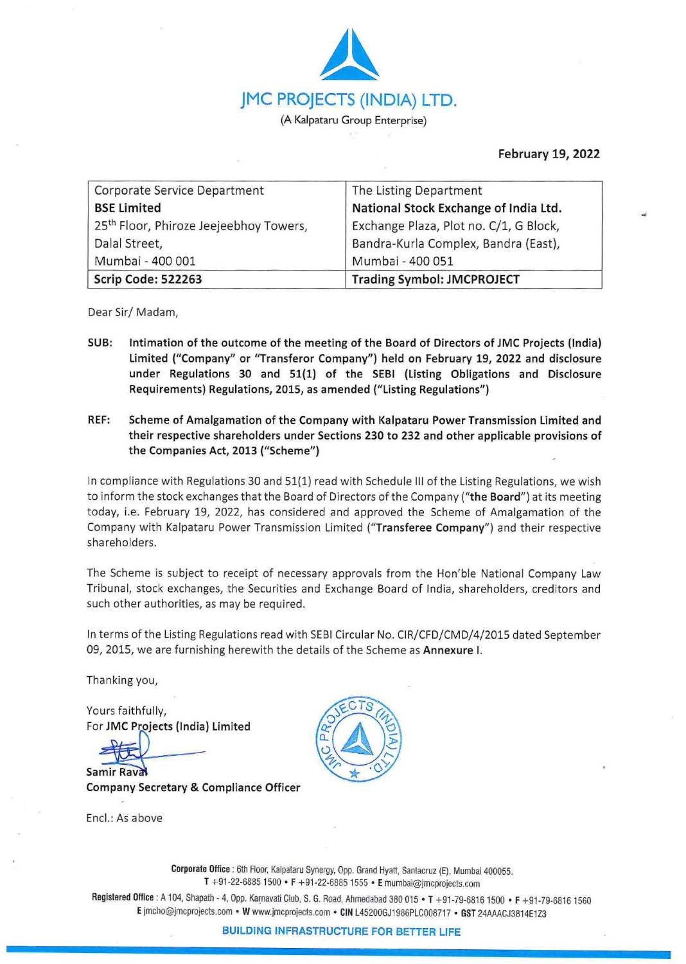

**February 19, 2022** 

| Corporate Service Department                       | The Listing Department                 |
|----------------------------------------------------|----------------------------------------|
| <b>BSE Limited</b>                                 | National Stock Exchange of India Ltd.  |
| 25 <sup>th</sup> Floor, Phiroze Jeejeebhoy Towers, | Exchange Plaza, Plot no. C/1, G Block, |
| Dalal Street,                                      | Bandra-Kurla Complex, Bandra (East),   |
| Mumbai - 400 001                                   | Mumbai - 400 051                       |
| Scrip Code: 522263                                 | <b>Trading Symbol: JMCPROJECT</b>      |

Dear Sir/ Madam,

- **SUB: Intimation of the outcome of the meeting of the Board of Directors of JMC Projects (India) limited ("Company" or "Transferor Company") held on February 19, 2022 and disclosure under Regulations 30 and 51(1) of the SEBI (Listing Obligations and Disclosure Requirements) Regulations, 2015, as amended ("Listing Regulations")**
- **REF: Scheme of Amalgamation of the Company with Kalpataru Power Transmission limited and their respective shareholders under Sections 230 to 232 and other applicable provisions of the Companies Act, 2013 ("Scheme")**

In compliance with Regulations 30 and 51(1) read with Schedule III of the Listing Regulations, we wish to inform the stock exchanges that the Board of Directors of the Company ("the Board") at its meeting today, i.e. February 19, 2022, has considered and approved the Scheme of Amalgamation of the Company with Kalpataru Power Transmission Limited ("Transferee Company") and their respective shareholders.

The Scheme is subject to receipt of necessary approvals from the Hon'ble National Company Law Tribunal, stock exchanges, the Securities and Exchange Board of India, shareholders, creditors and such other authorities, as may be required.

In terms of the Listing Regulations read with SEBI Circular No. CIR/CFD/CMD/4/2015 dated September 09, 2015, we are furnishing herewith the details of the Scheme as **Annexure** I.

Thanking you,

Yours faithfully, For **JMC Projects (India) limited** 

**Samir Rayal company Secretary** & **Compliance Officer** 

Encl.: As above



**Corporate Office :** 6th Floor, Kalpataru Synergy, Opp. Grand Hyatt, Santacruz (E), Mumbai 400055. T +91-22-6885 1500 • **F** +91-22-6885 1555 • **E** mumbai@jmcprojects.com

Registered Office : A 104, Shapath - 4, Opp. Karnavati Club, S. G. Road, Ahmedabad 380 015 • T +91-79-6816 1500 • F +91-79-6816 1560 E jmcho@jmcprojects.com • W www.jmcprojects.com • CIN L45200GJ1986PLC008717 • GST 24AAACJ3814E1Z3

**BUILDING INFRASTRUCTURE FOR BETTER LIFE**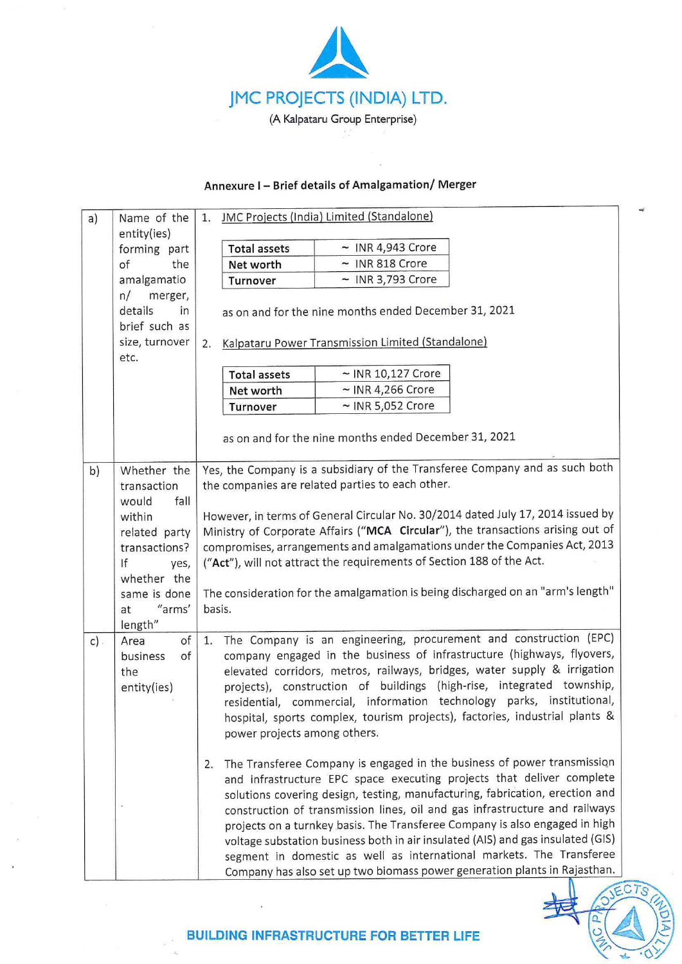

## **Annexure** I - **Brief details of Amalgamation/ Merger**

| a)     | Name of the                                                       | JMC Projects (India) Limited (Standalone)<br>1.                                                                                                                                                                                                                                                                                                                                                                                                                                                                                                                                                                                              |
|--------|-------------------------------------------------------------------|----------------------------------------------------------------------------------------------------------------------------------------------------------------------------------------------------------------------------------------------------------------------------------------------------------------------------------------------------------------------------------------------------------------------------------------------------------------------------------------------------------------------------------------------------------------------------------------------------------------------------------------------|
|        | entity(ies)                                                       |                                                                                                                                                                                                                                                                                                                                                                                                                                                                                                                                                                                                                                              |
|        | forming part                                                      | $\sim$ INR 4,943 Crore<br><b>Total assets</b>                                                                                                                                                                                                                                                                                                                                                                                                                                                                                                                                                                                                |
|        | of<br>the                                                         | $~\sim$ INR 818 Crore<br>Net worth                                                                                                                                                                                                                                                                                                                                                                                                                                                                                                                                                                                                           |
|        | amalgamatio                                                       | $~\sim$ INR 3,793 Crore<br>Turnover                                                                                                                                                                                                                                                                                                                                                                                                                                                                                                                                                                                                          |
|        | n/<br>merger,<br>details<br>in<br>brief such as<br>size, turnover | as on and for the nine months ended December 31, 2021<br>Kalpataru Power Transmission Limited (Standalone)<br>2.                                                                                                                                                                                                                                                                                                                                                                                                                                                                                                                             |
|        | etc.                                                              |                                                                                                                                                                                                                                                                                                                                                                                                                                                                                                                                                                                                                                              |
|        |                                                                   | $\sim$ INR 10,127 Crore<br><b>Total assets</b>                                                                                                                                                                                                                                                                                                                                                                                                                                                                                                                                                                                               |
|        |                                                                   | $\sim$ INR 4,266 Crore<br>Net worth                                                                                                                                                                                                                                                                                                                                                                                                                                                                                                                                                                                                          |
|        |                                                                   | $\sim$ INR 5,052 Crore<br>Turnover                                                                                                                                                                                                                                                                                                                                                                                                                                                                                                                                                                                                           |
|        |                                                                   | as on and for the nine months ended December 31, 2021                                                                                                                                                                                                                                                                                                                                                                                                                                                                                                                                                                                        |
| b)     | Whether the                                                       | Yes, the Company is a subsidiary of the Transferee Company and as such both                                                                                                                                                                                                                                                                                                                                                                                                                                                                                                                                                                  |
|        | transaction                                                       | the companies are related parties to each other.                                                                                                                                                                                                                                                                                                                                                                                                                                                                                                                                                                                             |
|        | fall<br>would                                                     |                                                                                                                                                                                                                                                                                                                                                                                                                                                                                                                                                                                                                                              |
|        | within                                                            | However, in terms of General Circular No. 30/2014 dated July 17, 2014 issued by                                                                                                                                                                                                                                                                                                                                                                                                                                                                                                                                                              |
|        | related party                                                     | Ministry of Corporate Affairs ("MCA Circular"), the transactions arising out of                                                                                                                                                                                                                                                                                                                                                                                                                                                                                                                                                              |
|        | transactions?                                                     | compromises, arrangements and amalgamations under the Companies Act, 2013                                                                                                                                                                                                                                                                                                                                                                                                                                                                                                                                                                    |
|        | If<br>yes,                                                        | ("Act"), will not attract the requirements of Section 188 of the Act.                                                                                                                                                                                                                                                                                                                                                                                                                                                                                                                                                                        |
|        | whether the                                                       |                                                                                                                                                                                                                                                                                                                                                                                                                                                                                                                                                                                                                                              |
|        | same is done                                                      | The consideration for the amalgamation is being discharged on an "arm's length"                                                                                                                                                                                                                                                                                                                                                                                                                                                                                                                                                              |
|        | "arms"<br>at                                                      | basis.                                                                                                                                                                                                                                                                                                                                                                                                                                                                                                                                                                                                                                       |
|        | length"                                                           |                                                                                                                                                                                                                                                                                                                                                                                                                                                                                                                                                                                                                                              |
| $c)$ . | of<br>Area<br>business<br>of<br>the<br>entity(ies)                | The Company is an engineering, procurement and construction (EPC)<br>1.<br>company engaged in the business of infrastructure (highways, flyovers,<br>elevated corridors, metros, railways, bridges, water supply & irrigation<br>projects), construction of buildings (high-rise, integrated township,<br>residential, commercial, information technology parks, institutional,<br>hospital, sports complex, tourism projects), factories, industrial plants &<br>power projects among others.                                                                                                                                               |
|        |                                                                   | The Transferee Company is engaged in the business of power transmission<br>2.<br>and infrastructure EPC space executing projects that deliver complete<br>solutions covering design, testing, manufacturing, fabrication, erection and<br>construction of transmission lines, oil and gas infrastructure and railways<br>projects on a turnkey basis. The Transferee Company is also engaged in high<br>voltage substation business both in air insulated (AIS) and gas insulated (GIS)<br>segment in domestic as well as international markets. The Transferee<br>Company has also set up two biomass power generation plants in Rajasthan. |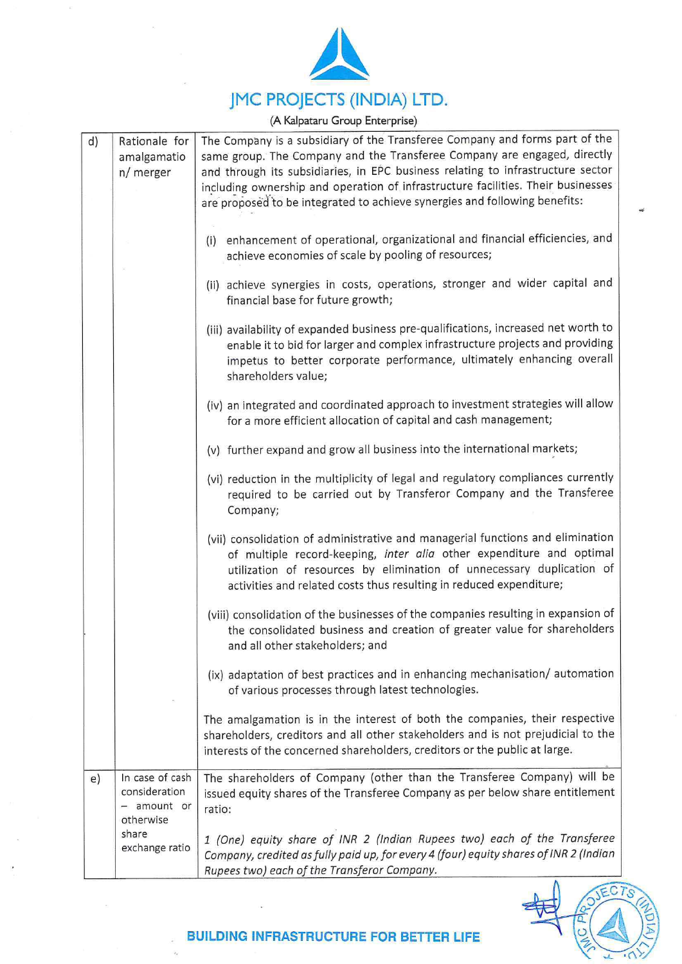

**(A Kalpataru Group Enterprise)** 

| d) | Rationale for<br>amalgamatio<br>n/ merger                    | The Company is a subsidiary of the Transferee Company and forms part of the<br>same group. The Company and the Transferee Company are engaged, directly<br>and through its subsidiaries, in EPC business relating to infrastructure sector<br>including ownership and operation of infrastructure facilities. Their businesses<br>are proposed to be integrated to achieve synergies and following benefits: |
|----|--------------------------------------------------------------|--------------------------------------------------------------------------------------------------------------------------------------------------------------------------------------------------------------------------------------------------------------------------------------------------------------------------------------------------------------------------------------------------------------|
|    |                                                              | (i) enhancement of operational, organizational and financial efficiencies, and<br>achieve economies of scale by pooling of resources;                                                                                                                                                                                                                                                                        |
|    |                                                              | (ii) achieve synergies in costs, operations, stronger and wider capital and<br>financial base for future growth;                                                                                                                                                                                                                                                                                             |
|    |                                                              | (iii) availability of expanded business pre-qualifications, increased net worth to<br>enable it to bid for larger and complex infrastructure projects and providing<br>impetus to better corporate performance, ultimately enhancing overall<br>shareholders value;                                                                                                                                          |
|    |                                                              | (iv) an integrated and coordinated approach to investment strategies will allow<br>for a more efficient allocation of capital and cash management;                                                                                                                                                                                                                                                           |
|    |                                                              | (v) further expand and grow all business into the international markets;                                                                                                                                                                                                                                                                                                                                     |
|    |                                                              | (vi) reduction in the multiplicity of legal and regulatory compliances currently<br>required to be carried out by Transferor Company and the Transferee<br>Company;                                                                                                                                                                                                                                          |
|    |                                                              | (vii) consolidation of administrative and managerial functions and elimination<br>of multiple record-keeping, inter alia other expenditure and optimal<br>utilization of resources by elimination of unnecessary duplication of<br>activities and related costs thus resulting in reduced expenditure;                                                                                                       |
|    |                                                              | (viii) consolidation of the businesses of the companies resulting in expansion of<br>the consolidated business and creation of greater value for shareholders<br>and all other stakeholders; and                                                                                                                                                                                                             |
|    |                                                              | (ix) adaptation of best practices and in enhancing mechanisation/ automation<br>of various processes through latest technologies.                                                                                                                                                                                                                                                                            |
|    |                                                              | The amalgamation is in the interest of both the companies, their respective<br>shareholders, creditors and all other stakeholders and is not prejudicial to the<br>interests of the concerned shareholders, creditors or the public at large.                                                                                                                                                                |
| e) | In case of cash<br>consideration<br>- amount or<br>otherwise | The shareholders of Company (other than the Transferee Company) will be<br>issued equity shares of the Transferee Company as per below share entitlement<br>ratio:                                                                                                                                                                                                                                           |
|    | share<br>exchange ratio                                      | 1 (One) equity share of INR 2 (Indian Rupees two) each of the Transferee<br>Company, credited as fully paid up, for every 4 (four) equity shares of INR 2 (Indian<br>Rupees two) each of the Transferor Company.                                                                                                                                                                                             |